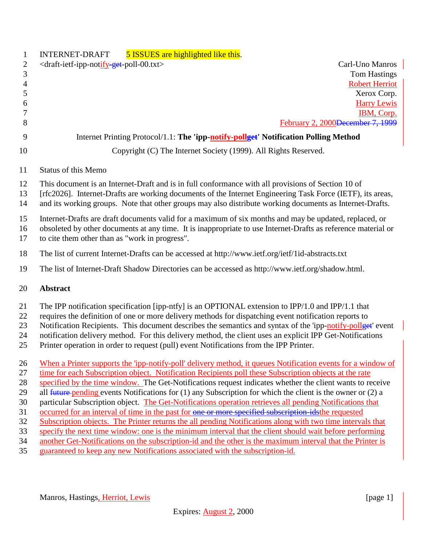| $\mathbf{1}$   | 5 ISSUES are highlighted like this.<br><b>INTERNET-DRAFT</b>                                                                                                                                                          |
|----------------|-----------------------------------------------------------------------------------------------------------------------------------------------------------------------------------------------------------------------|
| $\overline{2}$ | <draft-ietf-ipp-notify-get-poll-00.txt><br/>Carl-Uno Manros</draft-ietf-ipp-notify-get-poll-00.txt>                                                                                                                   |
| $\mathfrak{Z}$ | <b>Tom Hastings</b>                                                                                                                                                                                                   |
| $\overline{4}$ | <b>Robert Herriot</b>                                                                                                                                                                                                 |
| 5              | Xerox Corp.                                                                                                                                                                                                           |
| 6<br>7         | <b>Harry Lewis</b><br>IBM, Corp.                                                                                                                                                                                      |
| 8              | February 2, 2000 <del>December 7, 1999</del>                                                                                                                                                                          |
| 9              | Internet Printing Protocol/1.1: The 'ipp-notify-pollget' Notification Polling Method                                                                                                                                  |
| 10             | Copyright (C) The Internet Society (1999). All Rights Reserved.                                                                                                                                                       |
| 11             | <b>Status of this Memo</b>                                                                                                                                                                                            |
| 12             | This document is an Internet-Draft and is in full conformance with all provisions of Section 10 of                                                                                                                    |
| 13             | [rfc2026]. Internet-Drafts are working documents of the Internet Engineering Task Force (IETF), its areas,                                                                                                            |
| 14             | and its working groups. Note that other groups may also distribute working documents as Internet-Drafts.                                                                                                              |
| 15             | Internet-Drafts are draft documents valid for a maximum of six months and may be updated, replaced, or                                                                                                                |
| 16             | obsoleted by other documents at any time. It is inappropriate to use Internet-Drafts as reference material or                                                                                                         |
| 17             | to cite them other than as "work in progress".                                                                                                                                                                        |
| 18             | The list of current Internet-Drafts can be accessed at http://www.ietf.org/ietf/1id-abstracts.txt                                                                                                                     |
| 19             | The list of Internet-Draft Shadow Directories can be accessed as http://www.ietf.org/shadow.html.                                                                                                                     |
| 20             | <b>Abstract</b>                                                                                                                                                                                                       |
| 21             | The IPP notification specification [ipp-ntfy] is an OPTIONAL extension to IPP/1.0 and IPP/1.1 that                                                                                                                    |
| 22             | requires the definition of one or more delivery methods for dispatching event notification reports to                                                                                                                 |
| 23             | Notification Recipients. This document describes the semantics and syntax of the 'ipp-notify-pollget' event                                                                                                           |
| 24             | notification delivery method. For this delivery method, the client uses an explicit IPP Get-Notifications                                                                                                             |
| 25             | Printer operation in order to request (pull) event Notifications from the IPP Printer.                                                                                                                                |
| 26             | When a Printer supports the 'ipp-notify-poll' delivery method, it queues Notification events for a window of                                                                                                          |
| 27             | time for each Subscription object. Notification Recipients poll these Subscription objects at the rate                                                                                                                |
| 28             | specified by the time window. The Get-Notifications request indicates whether the client wants to receive                                                                                                             |
| 29             | all $f$ uture-pending events Notifications for (1) any Subscription for which the client is the owner or (2) a                                                                                                        |
| 30             | particular Subscription object. The Get-Notifications operation retrieves all pending Notifications that                                                                                                              |
| 31             | occurred for an interval of time in the past for one or more specified subscription-idsthe requested                                                                                                                  |
| 32             | Subscription objects. The Printer returns the all pending Notifications along with two time intervals that                                                                                                            |
| 33<br>34       | specify the next time window: one is the minimum interval that the client should wait before performing<br>another Get-Notifications on the subscription-id and the other is the maximum interval that the Printer is |
| 35             | guaranteed to keep any new Notifications associated with the subscription-id.                                                                                                                                         |
|                |                                                                                                                                                                                                                       |
|                |                                                                                                                                                                                                                       |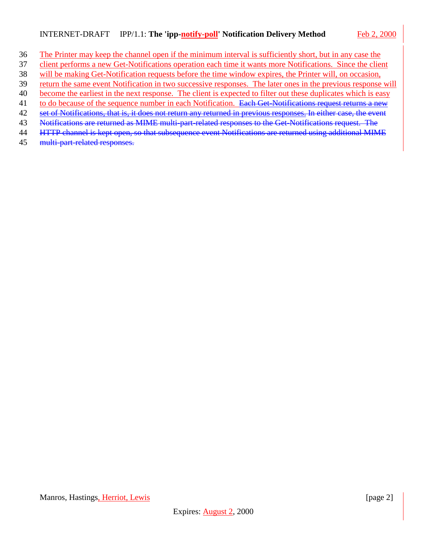#### INTERNET-DRAFT IPP/1.1: **The 'ipp-notify-poll' Notification Delivery Method** Feb 2, 2000

- The Printer may keep the channel open if the minimum interval is sufficiently short, but in any case the
- client performs a new Get-Notifications operation each time it wants more Notifications. Since the client
- will be making Get-Notification requests before the time window expires, the Printer will, on occasion,
- return the same event Notification in two successive responses. The later ones in the previous response will
- become the earliest in the next response. The client is expected to filter out these duplicates which is easy 41 to do because of the sequence number in each Notification. Each Get-Notifications request returns a new
- 42 set of Notifications, that is, it does not return any returned in previous responses. In either case, the event
- Notifications are returned as MIME multi-part-related responses to the Get-Notifications request. The
- HTTP channel is kept open, so that subsequence event Notifications are returned using additional MIME
- multi-part-related responses.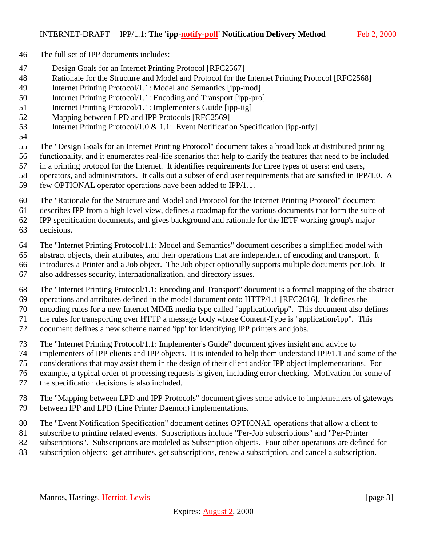- The full set of IPP documents includes:
- Design Goals for an Internet Printing Protocol [RFC2567]
- Rationale for the Structure and Model and Protocol for the Internet Printing Protocol [RFC2568]
- Internet Printing Protocol/1.1: Model and Semantics [ipp-mod]
- Internet Printing Protocol/1.1: Encoding and Transport [ipp-pro]
- 51 Internet Printing Protocol/1.1: Implementer's Guide [ipp-iig]
- Mapping between LPD and IPP Protocols [RFC2569]
- Internet Printing Protocol/1.0 & 1.1: Event Notification Specification [ipp-ntfy]
- 
- The "Design Goals for an Internet Printing Protocol" document takes a broad look at distributed printing
- functionality, and it enumerates real-life scenarios that help to clarify the features that need to be included
- in a printing protocol for the Internet. It identifies requirements for three types of users: end users,
- operators, and administrators. It calls out a subset of end user requirements that are satisfied in IPP/1.0. A few OPTIONAL operator operations have been added to IPP/1.1.
- The "Rationale for the Structure and Model and Protocol for the Internet Printing Protocol" document
- describes IPP from a high level view, defines a roadmap for the various documents that form the suite of

IPP specification documents, and gives background and rationale for the IETF working group's major

- decisions.
- The "Internet Printing Protocol/1.1: Model and Semantics" document describes a simplified model with
- abstract objects, their attributes, and their operations that are independent of encoding and transport. It
- introduces a Printer and a Job object. The Job object optionally supports multiple documents per Job. It
- also addresses security, internationalization, and directory issues.
- The "Internet Printing Protocol/1.1: Encoding and Transport" document is a formal mapping of the abstract operations and attributes defined in the model document onto HTTP/1.1 [RFC2616]. It defines the
- encoding rules for a new Internet MIME media type called "application/ipp". This document also defines
- the rules for transporting over HTTP a message body whose Content-Type is "application/ipp". This
- document defines a new scheme named 'ipp' for identifying IPP printers and jobs.
- The "Internet Printing Protocol/1.1: Implementer's Guide" document gives insight and advice to
- implementers of IPP clients and IPP objects. It is intended to help them understand IPP/1.1 and some of the
- considerations that may assist them in the design of their client and/or IPP object implementations. For
- example, a typical order of processing requests is given, including error checking. Motivation for some of
- the specification decisions is also included.
- The "Mapping between LPD and IPP Protocols" document gives some advice to implementers of gateways between IPP and LPD (Line Printer Daemon) implementations.
- The "Event Notification Specification" document defines OPTIONAL operations that allow a client to
- subscribe to printing related events. Subscriptions include "Per-Job subscriptions" and "Per-Printer
- subscriptions". Subscriptions are modeled as Subscription objects. Four other operations are defined for
- subscription objects: get attributes, get subscriptions, renew a subscription, and cancel a subscription.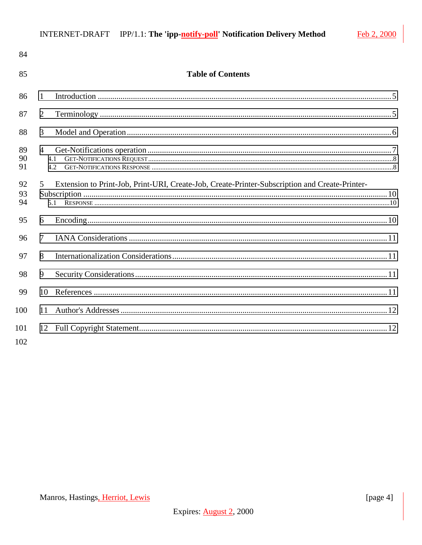| 85<br><b>Table of Contents</b>                                                                                        |  |
|-----------------------------------------------------------------------------------------------------------------------|--|
| 86<br>1                                                                                                               |  |
| 87<br>$\overline{2}$                                                                                                  |  |
| 3<br>88                                                                                                               |  |
| 89<br>$\overline{4}$<br>90<br>4.1<br>91<br>4.2                                                                        |  |
| Extension to Print-Job, Print-URI, Create-Job, Create-Printer-Subscription and Create-Printer-<br>92<br>5<br>93<br>94 |  |
| 95<br>6                                                                                                               |  |
| 96<br>$\tau$                                                                                                          |  |
| 97<br>8                                                                                                               |  |
| 98<br>9                                                                                                               |  |
| 99<br>10                                                                                                              |  |
| 100<br>11                                                                                                             |  |
| 101<br>102                                                                                                            |  |

Feb 2, 2000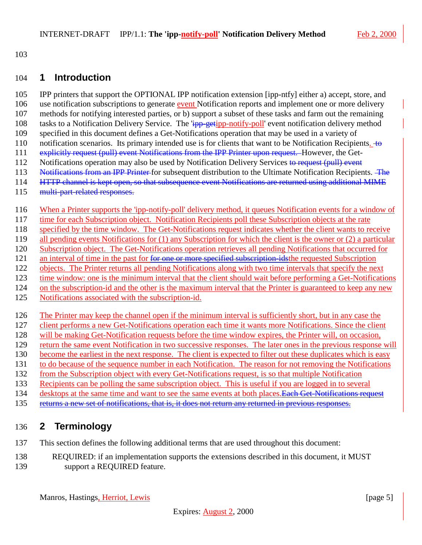<span id="page-4-0"></span>

#### **1 Introduction**

 IPP printers that support the OPTIONAL IPP notification extension [ipp-ntfy] either a) accept, store, and 106 use notification subscriptions to generate event Notification reports and implement one or more delivery methods for notifying interested parties, or b) support a subset of these tasks and farm out the remaining 108 tasks to a Notification Delivery Service. The  $\frac{1}{1}$  ipp-getipp-notify-poll' event notification delivery method specified in this document defines a Get-Notifications operation that may be used in a variety of 110 notification scenarios. Its primary intended use is for clients that want to be Notification Recipients.  $\pm \Theta$ 111 explicitly request (pull) event Notifications from the IPP Printer upon request. However, the Get-112 Notifications operation may also be used by Notification Delivery Services to request (pull) event 113 Notifications from an IPP Printer for subsequent distribution to the Ultimate Notification Recipients. The 114 HTTP channel is kept open, so that subsequence event Notifications are returned using additional MIME multi-part-related responses. When a Printer supports the 'ipp-notify-poll' delivery method, it queues Notification events for a window of time for each Subscription object. Notification Recipients poll these Subscription objects at the rate specified by the time window. The Get-Notifications request indicates whether the client wants to receive all pending events Notifications for (1) any Subscription for which the client is the owner or (2) a particular Subscription object. The Get-Notifications operation retrieves all pending Notifications that occurred for 121 an interval of time in the past for for one or more specified subscription-idsthe requested Subscription objects. The Printer returns all pending Notifications along with two time intervals that specify the next time window: one is the minimum interval that the client should wait before performing a Get-Notifications on the subscription-id and the other is the maximum interval that the Printer is guaranteed to keep any new Notifications associated with the subscription-id. The Printer may keep the channel open if the minimum interval is sufficiently short, but in any case the client performs a new Get-Notifications operation each time it wants more Notifications. Since the client will be making Get-Notification requests before the time window expires, the Printer will, on occasion, return the same event Notification in two successive responses. The later ones in the previous response will 130 become the earliest in the next response. The client is expected to filter out these duplicates which is easy to do because of the sequence number in each Notification. The reason for not removing the Notifications from the Subscription object with every Get-Notifications request, is so that multiple Notification Recipients can be polling the same subscription object. This is useful if you are logged in to several 134 desktops at the same time and want to see the same events at both places. Each Get-Notifications request 135 returns a new set of notifications, that is, it does not return any returned in previous responses.

### **2 Terminology**

- This section defines the following additional terms that are used throughout this document:
- REQUIRED: if an implementation supports the extensions described in this document, it MUST support a REQUIRED feature.

Manros, Hastings, Herriot, Lewis [page 5] [page 5]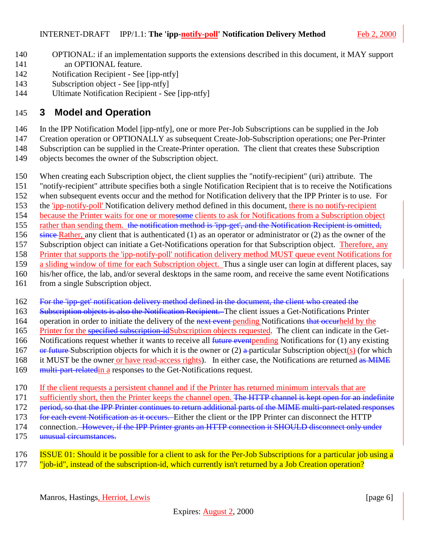- <span id="page-5-0"></span>140 OPTIONAL: if an implementation supports the extensions described in this document, it MAY support 141 an OPTIONAL feature.
- 142 Notification Recipient See [ipp-ntfy]
- 143 Subscription object See [ipp-ntfy]
- 144 Ultimate Notification Recipient See [ipp-ntfy]

### 145 **3 Model and Operation**

146 In the IPP Notification Model [ipp-ntfy], one or more Per-Job Subscriptions can be supplied in the Job

147 Creation operation or OPTIONALLY as subsequent Create-Job-Subscription operations; one Per-Printer

148 Subscription can be supplied in the Create-Printer operation. The client that creates these Subscription

- 149 objects becomes the owner of the Subscription object.
- 150 When creating each Subscription object, the client supplies the "notify-recipient" (uri) attribute. The
- 151 "notify-recipient" attribute specifies both a single Notification Recipient that is to receive the Notifications
- 152 when subsequent events occur and the method for Notification delivery that the IPP Printer is to use. For
- 153 the 'ipp-notify-poll' Notification delivery method defined in this document, there is no notify-recipient
- 154 because the Printer waits for one or moresome clients to ask for Notifications from a Subscription object
- 155 rather than sending them. the notification method is 'ipp-get', and the Notification Recipient is omitted,
- 156 since Rather, any client that is authenticated (1) as an operator or administrator or (2) as the owner of the
- 157 Subscription object can initiate a Get-Notifications operation for that Subscription object. Therefore, any
- 158 Printer that supports the 'ipp-notify-poll' notification delivery method MUST queue event Notifications for
- 159 a sliding window of time for each Subscription object. Thus a single user can login at different places, say
- 160 his/her office, the lab, and/or several desktops in the same room, and receive the same event Notifications
- 161 from a single Subscription object.
- 162 For the 'ipp-get' notification delivery method defined in the document, the client who created the
- 163 Subscription objects is also the Notification Recipient. The client issues a Get-Notifications Printer
- 164 operation in order to initiate the delivery of the next event pending Notifications that occurrheld by the
- 165 Printer for the specified subscription-idSubscription objects requested. The client can indicate in the Get-
- 166 Notifications request whether it wants to receive all future event pending Notifications for (1) any existing
- 167 or future Subscription objects for which it is the owner or (2) a particular Subscription object(s) (for which
- 168 it MUST be the owner or have read-access rights). In either case, the Notifications are returned as MIME
- 169 multi-part-relatedin a responses to the Get-Notifications request.
- 170 If the client requests a persistent channel and if the Printer has returned minimum intervals that are
- 171 sufficiently short, then the Printer keeps the channel open. The HTTP channel is kept open for an indefinite
- 172 period, so that the IPP Printer continues to return additional parts of the MIME multi-part-related responses
- 173 for each event Notification as it occurs. Either the client or the IPP Printer can disconnect the HTTP
- 174 connection. However, if the IPP Printer grants an HTTP connection it SHOULD disconnect only under
- 175 unusual circumstances.
- 176 ISSUE 01: Should it be possible for a client to ask for the Per-Job Subscriptions for a particular job using a 177 "job-id", instead of the subscription-id, which currently isn't returned by a Job Creation operation?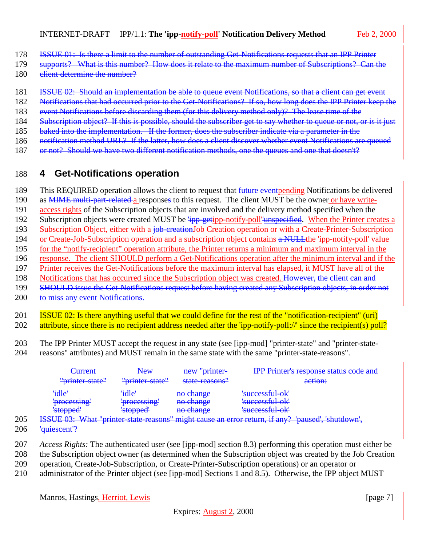- <span id="page-6-0"></span>178 ISSUE 01: Is there a limit to the number of outstanding Get Notifications requests that an IPP Printer
- 179 supports? What is this number? How does it relate to the maximum number of Subscriptions? Can the
- 180 elient determine the number?
- 181 **ISSUE 02:** Should an implementation be able to queue event Notifications, so that a client can get event
- 182 Notifications that had occurred prior to the Get-Notifications? If so, how long does the IPP Printer keep the
- 183 event Notifications before discarding them (for this delivery method only)? The lease time of the
- 184 Subscription object? If this is possible, should the subscriber get to say whether to queue or not, or is it just
- 185 baked into the implementation. If the former, does the subscriber indicate via a parameter in the
- 186 notification method URL? If the latter, how does a client discover whether event Notifications are queued
- 187 or not? Should we have two different notification methods, one the queues and one that doesn't?

# 188 **4 Get-Notifications operation**

189 This REQUIRED operation allows the client to request that *future eventpending* Notifications be delivered

- 190 as **MIME** multi-part-related a responses to this request. The client MUST be the owner or have write-
- 191 access rights of the Subscription objects that are involved and the delivery method specified when the
- 192 Subscription objects were created MUST be  $\frac{1}{1}$ pp-getipp-notify-poll<sup>'</sup>unspecified. When the Printer creates a
- 193 Subscription Object, either with a job-creationJob Creation operation or with a Create-Printer-Subscription
- 194 or Create-Job-Subscription operation and a subscription object contains a NULLthe 'ipp-notify-poll' value
- 195 for the "notify-recipient" operation attribute, the Printer returns a minimum and maximum interval in the 196 response. The client SHOULD perform a Get-Notifications operation after the minimum interval and if the
- 197 Printer receives the Get-Notifications before the maximum interval has elapsed, it MUST have all of the
- 198 Notifications that has occurred since the Subscription object was created. However, the client can and
- 199 SHOULD issue the Get-Notifications request before having created any Subscription objects, in order not
- 200 to miss any event Notifications.
- 201 ISSUE 02: Is there anything useful that we could define for the rest of the "notification-recipient" (uri) 202 attribute, since there is no recipient address needed after the 'ipp-notify-poll://' since the recipient(s) poll?
- 203 The IPP Printer MUST accept the request in any state (see [ipp-mod] "printer-state" and "printer-state-
- 204 reasons" attributes) and MUST remain in the same state with the same "printer-state-reasons".

| <del>Current</del> | New             | new "printer-  | <b>IPP Printer's response status code and</b>                                                        |
|--------------------|-----------------|----------------|------------------------------------------------------------------------------------------------------|
| "printer-state"    | "printer-state" | state-reasons" | action:                                                                                              |
| 'idle'             | 'idle'          | no change      | 'successful-ok'                                                                                      |
| 'processing'       | 'processing'    | no change      | 'successful-ok'                                                                                      |
| 'stopped'          | 'stopped'       | no change      | 'successful-ok'                                                                                      |
|                    |                 |                | <u>IIIE 03: What "printer state reasons" might cause an error return if any 2 'paused' shutdown'</u> |

- 205 ISSUE 03: What "printer-state-reasons" might cause an error return, if any? 'paused', 'shutdown',
- 206 'quiescent'?
- 207 *Access Rights:* The authenticated user (see [ipp-mod] section 8.3) performing this operation must either be
- 208 the Subscription object owner (as determined when the Subscription object was created by the Job Creation
- 209 operation, Create-Job-Subscription, or Create-Printer-Subscription operations) or an operator or
- 210 administrator of the Printer object (see [ipp-mod] Sections 1 and 8.5). Otherwise, the IPP object MUST

Manros, Hastings, Herriot, Lewis [page 7]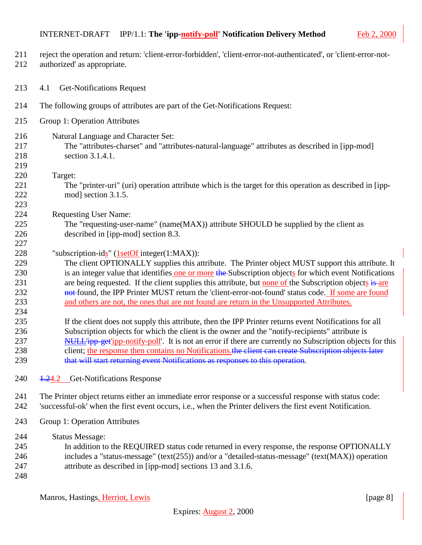#### <span id="page-7-0"></span>INTERNET-DRAFT IPP/1.1: **The 'ipp-notify-poll' Notification Delivery Method** Feb 2, 200

- reject the operation and return: 'client-error-forbidden', 'client-error-not-authenticated', or 'client-error-not-
- authorized' as appropriate.
- 4.1 Get-Notifications Request
- The following groups of attributes are part of the Get-Notifications Request:
- Group 1: Operation Attributes
- Natural Language and Character Set: The "attributes-charset" and "attributes-natural-language" attributes as described in [ipp-mod] section 3.1.4.1.
- Target:

- The "printer-uri" (uri) operation attribute which is the target for this operation as described in [ipp-mod] section 3.1.5.
- Requesting User Name:
- The "requesting-user-name" (name(MAX)) attribute SHOULD be supplied by the client as described in [ipp-mod] section 8.3.
- "subscription-ids" (1setOf integer(1:MAX)):
- The client OPTIONALLY supplies this attribute. The Printer object MUST support this attribute. It 230 is an integer value that identifies one or more the Subscription objects for which event Notifications 231 are being requested. If the client supplies this attribute, but none of the Subscription objects is are 232 not found, the IPP Printer MUST return the 'client-error-not-found' status code. If some are found and others are not, the ones that are not found are return in the Unsupported Attributes.
- If the client does not supply this attribute, then the IPP Printer returns event Notifications for all Subscription objects for which the client is the owner and the "notify-recipients" attribute is 237 NULL ipp-get ipp-notify-poll'. It is not an error if there are currently no Subscription objects for this 238 client; the response then contains no Notifications. the client can create Subscription objects later 239 that will start returning event Notifications as responses to this operation.
- 240 <del>1.24.2</del> Get-Notifications Response

 The Printer object returns either an immediate error response or a successful response with status code: 'successful-ok' when the first event occurs, i.e., when the Printer delivers the first event Notification.

Group 1: Operation Attributes

Status Message:

- In addition to the REQUIRED status code returned in every response, the response OPTIONALLY includes a "status-message" (text(255)) and/or a "detailed-status-message" (text(MAX)) operation attribute as described in [ipp-mod] sections 13 and 3.1.6.
- 

Manros, Hastings, Herriot, Lewis [page 8] [page 8]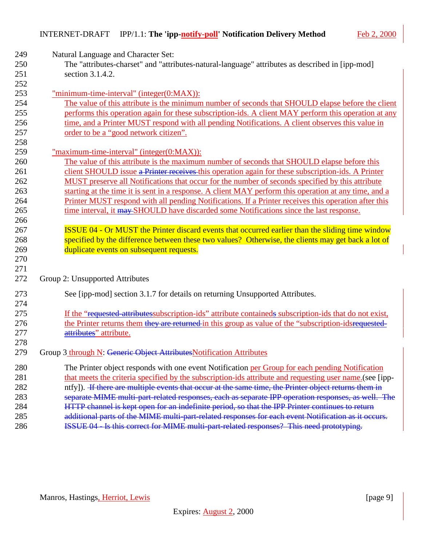| 249 | Natural Language and Character Set:                                                                      |
|-----|----------------------------------------------------------------------------------------------------------|
| 250 | The "attributes-charset" and "attributes-natural-language" attributes as described in [ipp-mod]          |
| 251 | section 3.1.4.2.                                                                                         |
| 252 |                                                                                                          |
| 253 | "minimum-time-interval" (integer(0:MAX)):                                                                |
| 254 | The value of this attribute is the minimum number of seconds that SHOULD elapse before the client        |
| 255 | performs this operation again for these subscription-ids. A client MAY perform this operation at any     |
| 256 | time, and a Printer MUST respond with all pending Notifications. A client observes this value in         |
| 257 | order to be a "good network citizen".                                                                    |
| 258 |                                                                                                          |
| 259 | "maximum-time-interval" (integer(0:MAX)):                                                                |
| 260 | The value of this attribute is the maximum number of seconds that SHOULD elapse before this              |
| 261 | client SHOULD issue a Printer receives this operation again for these subscription-ids. A Printer        |
| 262 | MUST preserve all Notifications that occur for the number of seconds specified by this attribute         |
| 263 | starting at the time it is sent in a response. A client MAY perform this operation at any time, and a    |
| 264 | Printer MUST respond with all pending Notifications. If a Printer receives this operation after this     |
| 265 | time interval, it may SHOULD have discarded some Notifications since the last response.                  |
| 266 |                                                                                                          |
| 267 | <b>ISSUE 04 - Or MUST the Printer discard events that occurred earlier than the sliding time window</b>  |
| 268 | specified by the difference between these two values? Otherwise, the clients may get back a lot of       |
| 269 | duplicate events on subsequent requests.                                                                 |
| 270 |                                                                                                          |
| 271 |                                                                                                          |
| 272 | Group 2: Unsupported Attributes                                                                          |
| 273 | See [ipp-mod] section 3.1.7 for details on returning Unsupported Attributes.                             |
| 274 |                                                                                                          |
| 275 | If the "requested attributes subscription-ids" attribute containeds subscription-ids that do not exist,  |
| 276 | the Printer returns them they are returned in this group as value of the "subscription-idsrequested-     |
| 277 | attributes" attribute.                                                                                   |
| 278 |                                                                                                          |
| 279 | Group 3 through N: Generic Object Attributes Notification Attributes                                     |
| 280 | The Printer object responds with one event Notification per Group for each pending Notification          |
| 281 | that meets the criteria specified by the subscription-ids attribute and requesting user name. (see [ipp- |
| 282 | ntfy]). H there are multiple events that occur at the same time, the Printer object returns them in      |
| 283 | separate MIME multi-part-related responses, each as separate IPP operation responses, as well. The       |
| 284 | HTTP channel is kept open for an indefinite period, so that the IPP Printer continues to return          |
| 285 | additional parts of the MIME multi-part related responses for each event Notification as it occurs.      |
| 286 | <b>ISSUE 04 - Is this correct for MIME multi-part-related responses? This need prototyping.</b>          |

Manros, Hastings<u>, Herriot, Lewis</u> [page 9]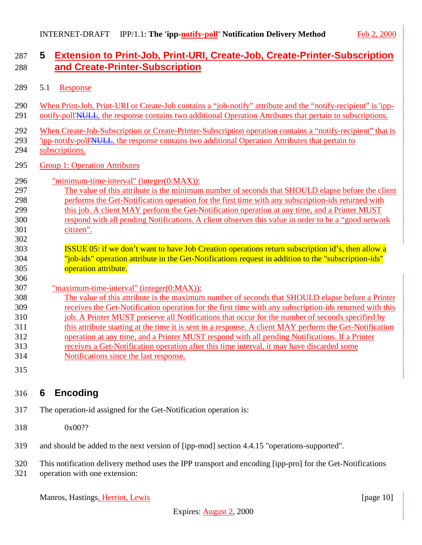## <span id="page-9-0"></span> **5 Extension to Print-Job, Print-URI, Create-Job, Create-Printer-Subscription and Create-Printer-Subscription**

- 5.1 Response
- When Print-Job, Print-URI or Create-Job contains a "job-notify" attribute and the "notify-recipient" is 'ipp-291 notify-poll'NULL, the response contains two additional Operation Attributes that pertain to subscriptions.
- When Create-Job-Subscription or Create-Printer-Subscription operation contains a "notify-recipient" that is
- 'ipp-notify-poll'NULL, the response contains two additional Operation Attributes that pertain to
- subscriptions.
- Group 1: Operation Attributes
- "minimum-time-interval" (integer(0:MAX)):
- The value of this attribute is the minimum number of seconds that SHOULD elapse before the client performs the Get-Notification operation for the first time with any subscription-ids returned with this job. A client MAY perform the Get-Notification operation at any time, and a Printer MUST respond with all pending Notifications. A client observes this value in order to be a "good network citizen".
- **ISSUE 05:** if we don't want to have Job Creation operations return subscription id's, then allow a "job-ids" operation attribute in the Get-Notifications request in addition to the "subscription-ids" operation attribute.
- 
- "maximum-time-interval" (integer(0:MAX)):
- The value of this attribute is the maximum number of seconds that SHOULD elapse before a Printer receives the Get-Notification operation for the first time with any subscription-ids returned with this 310 job. A Printer MUST preserve all Notifications that occur for the number of seconds specified by 311 this attribute starting at the time it is sent in a response. A client MAY perform the Get-Notification operation at any time, and a Printer MUST respond with all pending Notifications. If a Printer receives a Get-Notification operation after this time interval, it may have discarded some
- Notifications since the last response.
- 

# **6 Encoding**

- The operation-id assigned for the Get-Notification operation is:
- 0x00??
- and should be added to the next version of [ipp-mod] section 4.4.15 "operations-supported".

This notification delivery method uses the IPP transport and encoding [ipp-pro] for the Get-Notifications

operation with one extension:

Manros, Hastings, Herriot, Lewis [page 10]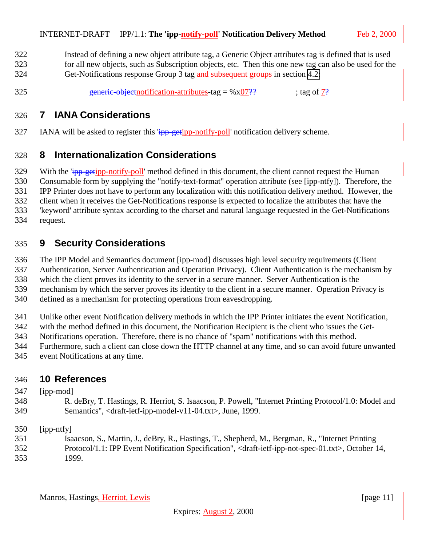<span id="page-10-0"></span> Instead of defining a new object attribute tag, a Generic Object attributes tag is defined that is used for all new objects, such as Subscription objects, etc. Then this one new tag can also be used for the

Get-Notifications response Group 3 tag and subsequent groups in section [4.2:](#page-7-0)

325 generic-objectnotification-attributes-tag =  $%x07$ ?? ; tag of  $7$ ?

### **7 IANA Considerations**

327 IANA will be asked to register this  $\frac{1}{1}$  and  $\frac{1}{2}$  poll' notification delivery scheme.

#### **8 Internationalization Considerations**

329 With the 'ipp-getipp-notify-poll' method defined in this document, the client cannot request the Human Consumable form by supplying the "notify-text-format" operation attribute (see [ipp-ntfy]). Therefore, the IPP Printer does not have to perform any localization with this notification delivery method. However, the client when it receives the Get-Notifications response is expected to localize the attributes that have the 'keyword' attribute syntax according to the charset and natural language requested in the Get-Notifications request.

## **9 Security Considerations**

The IPP Model and Semantics document [ipp-mod] discusses high level security requirements (Client

Authentication, Server Authentication and Operation Privacy). Client Authentication is the mechanism by

which the client proves its identity to the server in a secure manner. Server Authentication is the

mechanism by which the server proves its identity to the client in a secure manner. Operation Privacy is

defined as a mechanism for protecting operations from eavesdropping.

Unlike other event Notification delivery methods in which the IPP Printer initiates the event Notification,

with the method defined in this document, the Notification Recipient is the client who issues the Get-

Notifications operation. Therefore, there is no chance of "spam" notifications with this method.

Furthermore, such a client can close down the HTTP channel at any time, and so can avoid future unwanted

event Notifications at any time.

### **10 References**

- [ipp-mod]
- R. deBry, T. Hastings, R. Herriot, S. Isaacson, P. Powell, "Internet Printing Protocol/1.0: Model and Semantics", <draft-ietf-ipp-model-v11-04.txt>, June, 1999.
- [ipp-ntfy]
- Isaacson, S., Martin, J., deBry, R., Hastings, T., Shepherd, M., Bergman, R., "Internet Printing
- Protocol/1.1: IPP Event Notification Specification", <draft-ietf-ipp-not-spec-01.txt>, October 14, 1999.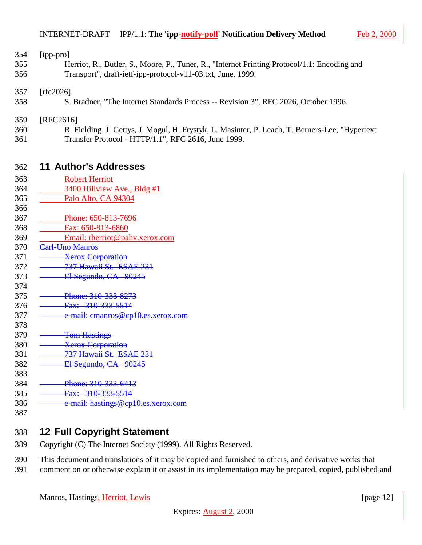<span id="page-11-0"></span>

| 354 | $[$ ipp-pro $]$                                                                              |
|-----|----------------------------------------------------------------------------------------------|
| 355 | Herriot, R., Butler, S., Moore, P., Tuner, R., "Internet Printing Protocol/1.1: Encoding and |
| 356 | Transport", draft-ietf-ipp-protocol-v11-03.txt, June, 1999.                                  |
|     |                                                                                              |
| 357 | [rfc2026]                                                                                    |
| 358 | S. Bradner, "The Internet Standards Process -- Revision 3", RFC 2026, October 1996.          |

- 359 [RFC2616]
- 360 R. Fielding, J. Gettys, J. Mogul, H. Frystyk, L. Masinter, P. Leach, T. Berners-Lee, "Hypertext 361 Transfer Protocol - HTTP/1.1", RFC 2616, June 1999.

#### 362 **11 Author's Addresses**

| 363 | <b>Robert Herriot</b>              |
|-----|------------------------------------|
| 364 | 3400 Hillview Ave., Bldg #1        |
| 365 | Palo Alto, CA 94304                |
| 366 |                                    |
| 367 | Phone: 650-813-7696                |
| 368 | Fax: 650-813-6860                  |
| 369 | Email: rherriot@pahv.xerox.com     |
| 370 | Carl-Uno Manros                    |
| 371 | <b>Xerox Corporation</b>           |
| 372 | 737 Hawaii St. ESAE 231            |
| 373 | El Segundo, CA 90245               |
| 374 |                                    |
| 375 | Phone: 310-333-8273                |
| 376 | Fax: 310-333-5514                  |
| 377 | e-mail: cmanros@cp10.es.xerox.com  |
| 378 |                                    |
| 379 | <b>Tom Hastings</b>                |
| 380 | <b>Xerox Corporation</b>           |
| 381 | 737 Hawaii St. ESAE 231            |
| 382 | El Segundo, CA 90245               |
| 383 |                                    |
| 384 | Phone: 310-333-6413                |
| 385 | Fax: 310-333-5514                  |
| 386 | e-mail: hastings@cp10.es.xerox.com |
| 387 |                                    |

### 388 **12 Full Copyright Statement**

- 389 Copyright (C) The Internet Society (1999). All Rights Reserved.
- 390 This document and translations of it may be copied and furnished to others, and derivative works that
- 391 comment on or otherwise explain it or assist in its implementation may be prepared, copied, published and

Manros, Hastings, Herriot, Lewis [page 12]